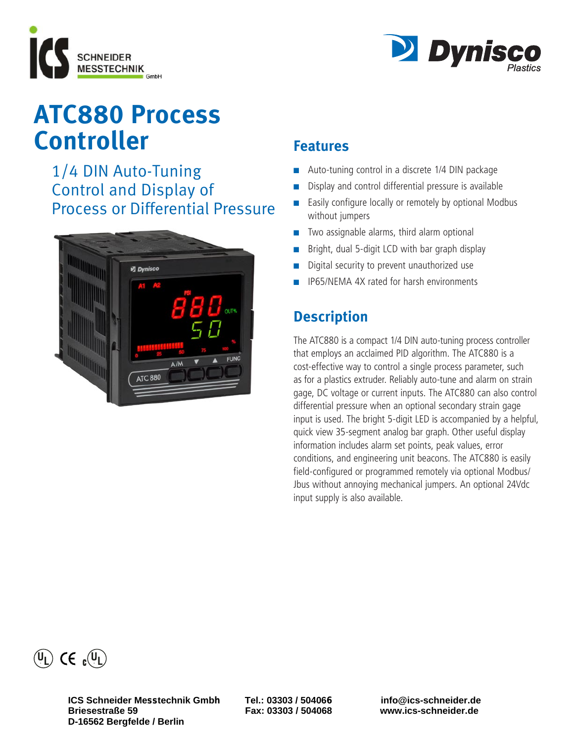



# **ATC880 Process Controller**

 1/4 DIN Auto-Tuning Control and Display of Process or Differential Pressure



# **Features**

- Auto-tuning control in a discrete 1/4 DIN package
- Display and control differential pressure is available
- **Easily configure locally or remotely by optional Modbus** without jumpers
- $\blacksquare$  Two assignable alarms, third alarm optional
- Bright, dual 5-digit LCD with bar graph display
- Digital security to prevent unauthorized use
- n IP65/NEMA 4X rated for harsh environments

# **Description**

The ATC880 is a compact 1/4 DIN auto-tuning process controller that employs an acclaimed PID algorithm. The ATC880 is a cost-effective way to control a single process parameter, such as for a plastics extruder. Reliably auto-tune and alarm on strain gage, DC voltage or current inputs. The ATC880 can also control differential pressure when an optional secondary strain gage input is used. The bright 5-digit LED is accompanied by a helpful, quick view 35-segment analog bar graph. Other useful display information includes alarm set points, peak values, error conditions, and engineering unit beacons. The ATC880 is easily field-configured or programmed remotely via optional Modbus/ Jbus without annoying mechanical jumpers. An optional 24Vdc input supply is also available.



**ICS Schneider Messtechnik Gmbh Tel.: 03303 / 504066 info@ics-schneider.de D-16562 Bergfelde / Berlin** 

**Briesestraße 59 Fax: 03303 / 504068 www.ics-schneider.de**